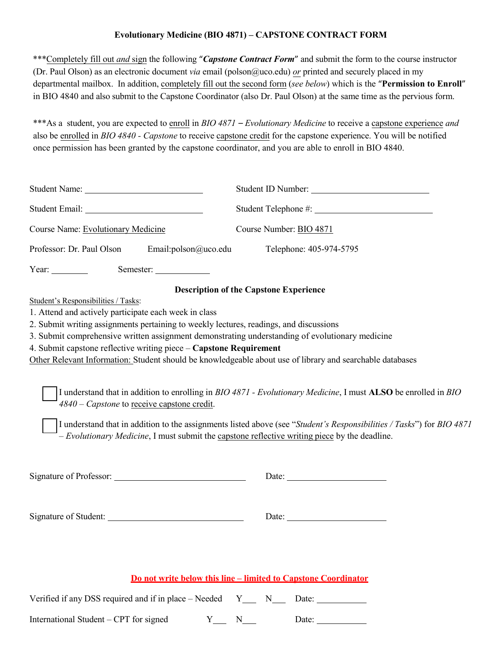## **Evolutionary Medicine (BIO 4871) – CAPSTONE CONTRACT FORM**

\*\*\*Completely fill out *and* sign the following "*Capstone Contract Form*" and submit the form to the course instructor (Dr. Paul Olson) as an electronic document *via* email (polson@uco.edu) *or* printed and securely placed in my departmental mailbox. In addition, completely fill out the second form (*see below*) which is the "**Permission to Enroll**" in BIO 4840 and also submit to the Capstone Coordinator (also Dr. Paul Olson) at the same time as the pervious form.

\*\*\*As a student, you are expected to enroll in *BIO 4871 – Evolutionary Medicine* to receive a capstone experience *and* also be enrolled in *BIO 4840 - Capstone* to receive capstone credit for the capstone experience. You will be notified once permission has been granted by the capstone coordinator, and you are able to enroll in BIO 4840.

| Student Email: Value of the Contract of the Contract of the Contract of the Contract of the Contract of the Contract of the Contract of the Contract of the Contract of the Contract of the Contract of the Contract of the Co                                                                                |                                                                                                                                                                                                                                                                                                                                                                                                                                                                                                                                                                                                           |  |  |  |  |
|---------------------------------------------------------------------------------------------------------------------------------------------------------------------------------------------------------------------------------------------------------------------------------------------------------------|-----------------------------------------------------------------------------------------------------------------------------------------------------------------------------------------------------------------------------------------------------------------------------------------------------------------------------------------------------------------------------------------------------------------------------------------------------------------------------------------------------------------------------------------------------------------------------------------------------------|--|--|--|--|
| Course Name: Evolutionary Medicine<br>Course Number: BIO 4871                                                                                                                                                                                                                                                 |                                                                                                                                                                                                                                                                                                                                                                                                                                                                                                                                                                                                           |  |  |  |  |
| Professor: Dr. Paul Olson<br>Email:polson@uco.edu                                                                                                                                                                                                                                                             | Telephone: 405-974-5795                                                                                                                                                                                                                                                                                                                                                                                                                                                                                                                                                                                   |  |  |  |  |
| Year: $\frac{1}{\sqrt{2\pi}}$<br>Semester:                                                                                                                                                                                                                                                                    |                                                                                                                                                                                                                                                                                                                                                                                                                                                                                                                                                                                                           |  |  |  |  |
| Student's Responsibilities / Tasks:<br>1. Attend and actively participate each week in class<br>2. Submit writing assignments pertaining to weekly lectures, readings, and discussions<br>4. Submit capstone reflective writing piece - Capstone Requirement<br>$4840$ – Capstone to receive capstone credit. | <b>Description of the Capstone Experience</b><br>3. Submit comprehensive written assignment demonstrating understanding of evolutionary medicine<br>Other Relevant Information: Student should be knowledgeable about use of library and searchable databases<br>I understand that in addition to enrolling in BIO 4871 - Evolutionary Medicine, I must ALSO be enrolled in BIO<br>I understand that in addition to the assignments listed above (see "Student's Responsibilities / Tasks") for BIO 4871<br>- Evolutionary Medicine, I must submit the capstone reflective writing piece by the deadline. |  |  |  |  |
|                                                                                                                                                                                                                                                                                                               |                                                                                                                                                                                                                                                                                                                                                                                                                                                                                                                                                                                                           |  |  |  |  |
|                                                                                                                                                                                                                                                                                                               |                                                                                                                                                                                                                                                                                                                                                                                                                                                                                                                                                                                                           |  |  |  |  |
|                                                                                                                                                                                                                                                                                                               | Do not write below this line – limited to Canstone Coordinator                                                                                                                                                                                                                                                                                                                                                                                                                                                                                                                                            |  |  |  |  |

Verified if any DSS required and if in place – Needed  $Y_ N_ N_ N_$  Date:

International Student – CPT for signed  $Y_1, Y_2, Y_3, Y_4, Y_5, Y_6, Y_7, Y_8, Y_9, Y_{10}$